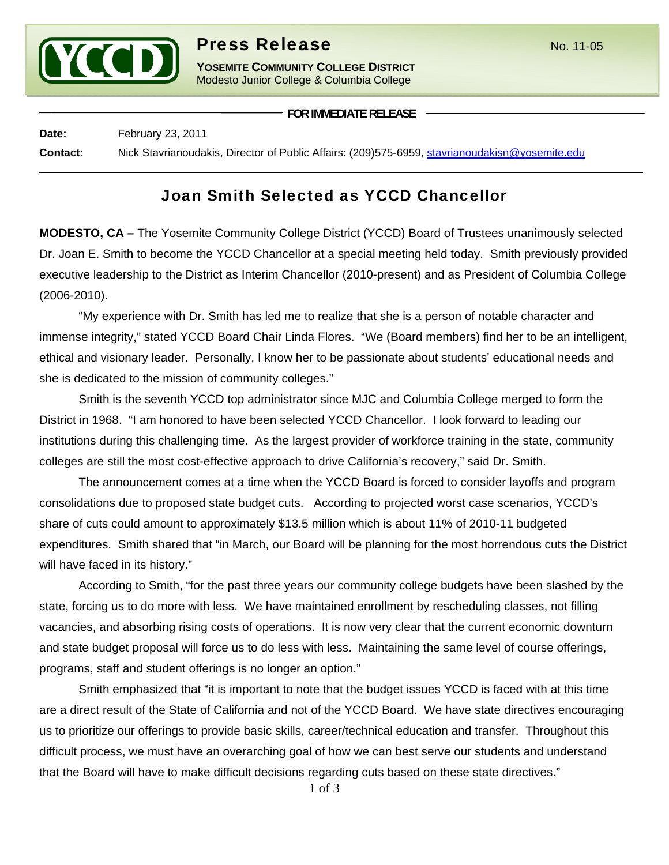

# **Press Release** No. 11-05

**YOSEMITE COMMUNITY COLLEGE DISTRICT** Modesto Junior College & Columbia College

**FOR IMMEDIATE RELEASE**

**Date:** February 23, 2011 **Contact:** Nick Stavrianoudakis, Director of Public Affairs: (209)575-6959, stavrianoudakisn@yosemite.edu

## Joan Smith Selected as YCCD Chancellor

**MODESTO, CA –** The Yosemite Community College District (YCCD) Board of Trustees unanimously selected Dr. Joan E. Smith to become the YCCD Chancellor at a special meeting held today. Smith previously provided executive leadership to the District as Interim Chancellor (2010-present) and as President of Columbia College (2006-2010).

"My experience with Dr. Smith has led me to realize that she is a person of notable character and immense integrity," stated YCCD Board Chair Linda Flores. "We (Board members) find her to be an intelligent, ethical and visionary leader. Personally, I know her to be passionate about students' educational needs and she is dedicated to the mission of community colleges."

Smith is the seventh YCCD top administrator since MJC and Columbia College merged to form the District in 1968. "I am honored to have been selected YCCD Chancellor. I look forward to leading our institutions during this challenging time. As the largest provider of workforce training in the state, community colleges are still the most cost-effective approach to drive California's recovery," said Dr. Smith.

The announcement comes at a time when the YCCD Board is forced to consider layoffs and program consolidations due to proposed state budget cuts. According to projected worst case scenarios, YCCD's share of cuts could amount to approximately \$13.5 million which is about 11% of 2010-11 budgeted expenditures. Smith shared that "in March, our Board will be planning for the most horrendous cuts the District will have faced in its history."

According to Smith, "for the past three years our community college budgets have been slashed by the state, forcing us to do more with less. We have maintained enrollment by rescheduling classes, not filling vacancies, and absorbing rising costs of operations. It is now very clear that the current economic downturn and state budget proposal will force us to do less with less. Maintaining the same level of course offerings, programs, staff and student offerings is no longer an option."

Smith emphasized that "it is important to note that the budget issues YCCD is faced with at this time are a direct result of the State of California and not of the YCCD Board. We have state directives encouraging us to prioritize our offerings to provide basic skills, career/technical education and transfer. Throughout this difficult process, we must have an overarching goal of how we can best serve our students and understand that the Board will have to make difficult decisions regarding cuts based on these state directives."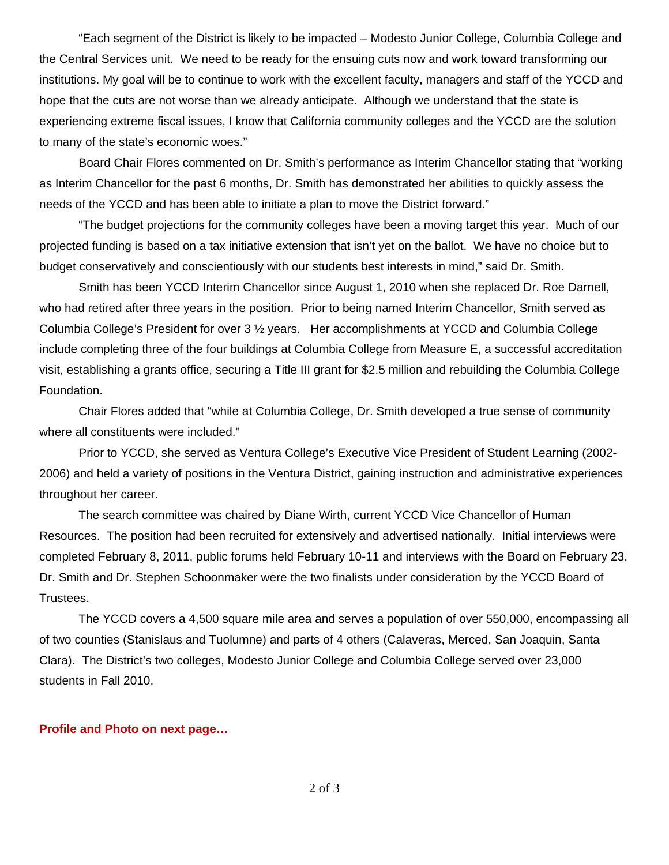"Each segment of the District is likely to be impacted – Modesto Junior College, Columbia College and the Central Services unit. We need to be ready for the ensuing cuts now and work toward transforming our institutions. My goal will be to continue to work with the excellent faculty, managers and staff of the YCCD and hope that the cuts are not worse than we already anticipate. Although we understand that the state is experiencing extreme fiscal issues, I know that California community colleges and the YCCD are the solution to many of the state's economic woes."

Board Chair Flores commented on Dr. Smith's performance as Interim Chancellor stating that "working as Interim Chancellor for the past 6 months, Dr. Smith has demonstrated her abilities to quickly assess the needs of the YCCD and has been able to initiate a plan to move the District forward."

 "The budget projections for the community colleges have been a moving target this year. Much of our projected funding is based on a tax initiative extension that isn't yet on the ballot. We have no choice but to budget conservatively and conscientiously with our students best interests in mind," said Dr. Smith.

Smith has been YCCD Interim Chancellor since August 1, 2010 when she replaced Dr. Roe Darnell, who had retired after three years in the position. Prior to being named Interim Chancellor, Smith served as Columbia College's President for over 3 ½ years. Her accomplishments at YCCD and Columbia College include completing three of the four buildings at Columbia College from Measure E, a successful accreditation visit, establishing a grants office, securing a Title III grant for \$2.5 million and rebuilding the Columbia College Foundation.

Chair Flores added that "while at Columbia College, Dr. Smith developed a true sense of community where all constituents were included."

Prior to YCCD, she served as Ventura College's Executive Vice President of Student Learning (2002- 2006) and held a variety of positions in the Ventura District, gaining instruction and administrative experiences throughout her career.

 The search committee was chaired by Diane Wirth, current YCCD Vice Chancellor of Human Resources. The position had been recruited for extensively and advertised nationally. Initial interviews were completed February 8, 2011, public forums held February 10-11 and interviews with the Board on February 23. Dr. Smith and Dr. Stephen Schoonmaker were the two finalists under consideration by the YCCD Board of Trustees.

The YCCD covers a 4,500 square mile area and serves a population of over 550,000, encompassing all of two counties (Stanislaus and Tuolumne) and parts of 4 others (Calaveras, Merced, San Joaquin, Santa Clara). The District's two colleges, Modesto Junior College and Columbia College served over 23,000 students in Fall 2010.

#### **Profile and Photo on next page…**